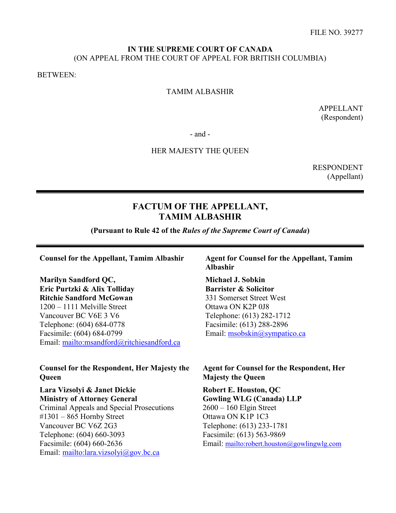## **IN THE SUPREME COURT OF CANADA** (ON APPEAL FROM THE COURT OF APPEAL FOR BRITISH COLUMBIA)

BETWEEN:

## TAMIM ALBASHIR

APPELLANT (Respondent)

- and -

## HER MAJESTY THE QUEEN

RESPONDENT (Appellant)

# **FACTUM OF THE APPELLANT, TAMIM ALBASHIR**

**(Pursuant to Rule 42 of the** *Rules of the Supreme Court of Canada***)**

**Marilyn Sandford QC, Eric Purtzki & Alix Tolliday Ritchie Sandford McGowan**  1200 – 1111 Melville Street Vancouver BC V6E 3 V6 Telephone: (604) 684-0778 Facsimile: (604) 684-0799 Email:<mailto:msandford@ritchiesandford.ca>

## **Counsel for the Respondent, Her Majesty the Queen**

**Lara Vizsolyi & Janet Dickie Ministry of Attorney General** 

Criminal Appeals and Special Prosecutions #1301 – 865 Hornby Street Vancouver BC V6Z 2G3 Telephone: (604) 660-3093 Facsimile: (604) 660-2636 Email: <mailto:lara.vizsolyi@gov.bc.ca>

**Counsel for the Appellant, Tamim Albashir Agent for Counsel for the Appellant, Tamim Albashir**

> **Michael J. Sobkin Barrister & Solicitor**  331 Somerset Street West Ottawa ON K2P 0J8 Telephone: (613) 282-1712 Facsimile: (613) 288-2896 Email: [msobskin@sympatico.ca](mailto:msobskin@sympatico.ca)

**Agent for Counsel for the Respondent, Her Majesty the Queen** 

**Robert E. Houston, QC Gowling WLG (Canada) LLP** 2600 – 160 Elgin Street Ottawa ON K1P 1C3 Telephone: (613) 233-1781 Facsimile: (613) 563-9869 Email:<mailto:robert.houston@gowlingwlg.com>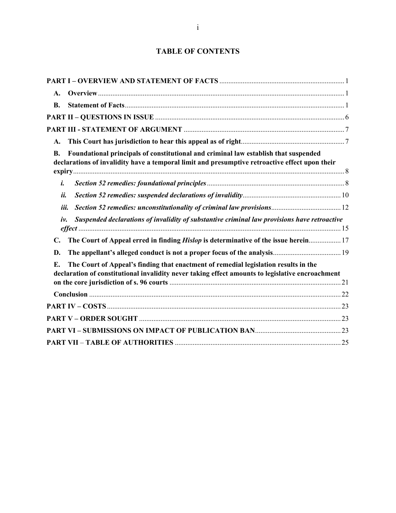# **TABLE OF CONTENTS**

| $\mathbf{A}$ .                                                                                                                                                                                     |
|----------------------------------------------------------------------------------------------------------------------------------------------------------------------------------------------------|
| <b>B.</b>                                                                                                                                                                                          |
|                                                                                                                                                                                                    |
|                                                                                                                                                                                                    |
| A.                                                                                                                                                                                                 |
| Foundational principals of constitutional and criminal law establish that suspended<br><b>B.</b><br>declarations of invalidity have a temporal limit and presumptive retroactive effect upon their |
| i.                                                                                                                                                                                                 |
| ii.                                                                                                                                                                                                |
| iii.                                                                                                                                                                                               |
| Suspended declarations of invalidity of substantive criminal law provisions have retroactive<br>iv.                                                                                                |
| The Court of Appeal erred in finding Hislop is determinative of the issue herein 17<br>$\mathbf{C}$ .                                                                                              |
| D.                                                                                                                                                                                                 |
| The Court of Appeal's finding that enactment of remedial legislation results in the<br>Е.<br>declaration of constitutional invalidity never taking effect amounts to legislative encroachment      |
|                                                                                                                                                                                                    |
|                                                                                                                                                                                                    |
|                                                                                                                                                                                                    |
|                                                                                                                                                                                                    |
|                                                                                                                                                                                                    |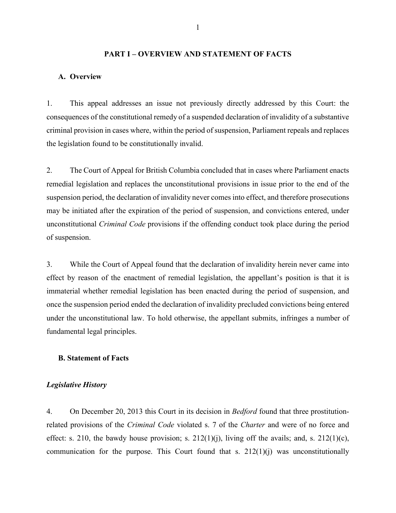## **PART I – OVERVIEW AND STATEMENT OF FACTS**

#### <span id="page-2-0"></span>**A. Overview**

1. This appeal addresses an issue not previously directly addressed by this Court: the consequences of the constitutional remedy of a suspended declaration of invalidity of a substantive criminal provision in cases where, within the period of suspension, Parliament repeals and replaces the legislation found to be constitutionally invalid.

2. The Court of Appeal for British Columbia concluded that in cases where Parliament enacts remedial legislation and replaces the unconstitutional provisions in issue prior to the end of the suspension period, the declaration of invalidity never comes into effect, and therefore prosecutions may be initiated after the expiration of the period of suspension, and convictions entered, under unconstitutional *Criminal Code* provisions if the offending conduct took place during the period of suspension.

3. While the Court of Appeal found that the declaration of invalidity herein never came into effect by reason of the enactment of remedial legislation, the appellant's position is that it is immaterial whether remedial legislation has been enacted during the period of suspension, and once the suspension period ended the declaration of invalidity precluded convictions being entered under the unconstitutional law. To hold otherwise, the appellant submits, infringes a number of fundamental legal principles.

## **B. Statement of Facts**

#### *Legislative History*

4. On December 20, 2013 this Court in its decision in *Bedford* found that three prostitutionrelated provisions of the *Criminal Code* violated s. 7 of the *Charter* and were of no force and effect: s. 210, the bawdy house provision; s.  $212(1)(i)$ , living off the avails; and, s.  $212(1)(c)$ , communication for the purpose. This Court found that s.  $212(1)(i)$  was unconstitutionally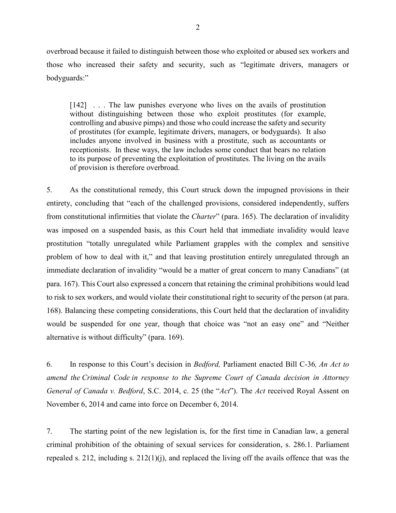overbroad because it failed to distinguish between those who exploited or abused sex workers and those who increased their safety and security, such as "legitimate drivers, managers or bodyguards:"

[142] . . . The law punishes everyone who lives on the avails of prostitution without distinguishing between those who exploit prostitutes (for example, controlling and abusive pimps) and those who could increase the safety and security of prostitutes (for example, legitimate drivers, managers, or bodyguards). It also includes anyone involved in business with a prostitute, such as accountants or receptionists. In these ways, the law includes some conduct that bears no relation to its purpose of preventing the exploitation of prostitutes. The living on the avails of provision is therefore overbroad.

5. As the constitutional remedy, this Court struck down the impugned provisions in their entirety, concluding that "each of the challenged provisions, considered independently, suffers from constitutional infirmities that violate the *Charter*" (para. 165). The declaration of invalidity was imposed on a suspended basis, as this Court held that immediate invalidity would leave prostitution "totally unregulated while Parliament grapples with the complex and sensitive problem of how to deal with it," and that leaving prostitution entirely unregulated through an immediate declaration of invalidity "would be a matter of great concern to many Canadians" (at para. 167). This Court also expressed a concern that retaining the criminal prohibitions would lead to risk to sex workers, and would violate their constitutional right to security of the person (at para. 168). Balancing these competing considerations, this Court held that the declaration of invalidity would be suspended for one year, though that choice was "not an easy one" and "Neither alternative is without difficulty" (para. 169).

6. In response to this Court's decision in *Bedford,* Parliament enacted Bill C-36*, An Act to amend the [Criminal Code](https://www.canlii.org/en/ca/laws/stat/rsc-1985-c-c-46/latest/rsc-1985-c-c-46.html) in response to the Supreme Court of Canada decision in Attorney General of Canada v. Bedford*, S.C. 2014, c. 25 (the "*Act*"). The *Act* received Royal Assent on November 6, 2014 and came into force on December 6, 2014.

7. The starting point of the new legislation is, for the first time in Canadian law, a general criminal prohibition of the obtaining of sexual services for consideration, s. 286.1. Parliament repealed s. 212, including s. 212(1)(j), and replaced the living off the avails offence that was the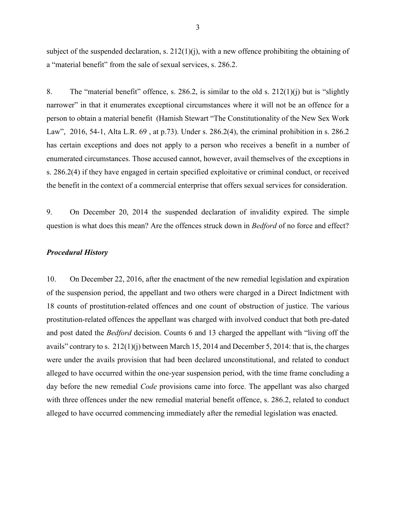subject of the suspended declaration, s.  $212(1)(i)$ , with a new offence prohibiting the obtaining of a "material benefit" from the sale of sexual services, s. 286.2.

8. The "material benefit" offence, s. 286.2, is similar to the old s. 212(1)(j) but is "slightly narrower" in that it enumerates exceptional circumstances where it will not be an offence for a person to obtain a material benefit (Hamish Stewart "The Constitutionality of the New Sex Work Law", 2016, 54-1, Alta L.R. 69 , at p.73). Under s. 286.2(4), the criminal prohibition in s. 286.2 has certain exceptions and does not apply to a person who receives a benefit in a number of enumerated circumstances. Those accused cannot, however, avail themselves of the exceptions in s. 286.2(4) if they have engaged in certain specified exploitative or criminal conduct, or received the benefit in the context of a commercial enterprise that offers sexual services for consideration.

9. On December 20, 2014 the suspended declaration of invalidity expired. The simple question is what does this mean? Are the offences struck down in *Bedford* of no force and effect?

## *Procedural History*

10. On December 22, 2016, after the enactment of the new remedial legislation and expiration of the suspension period, the appellant and two others were charged in a Direct Indictment with 18 counts of prostitution-related offences and one count of obstruction of justice. The various prostitution-related offences the appellant was charged with involved conduct that both pre-dated and post dated the *Bedford* decision. Counts 6 and 13 charged the appellant with "living off the avails" contrary to s. 212(1)(j) between March 15, 2014 and December 5, 2014: that is, the charges were under the avails provision that had been declared unconstitutional, and related to conduct alleged to have occurred within the one-year suspension period, with the time frame concluding a day before the new remedial *Code* provisions came into force. The appellant was also charged with three offences under the new remedial material benefit offence, s. 286.2, related to conduct alleged to have occurred commencing immediately after the remedial legislation was enacted.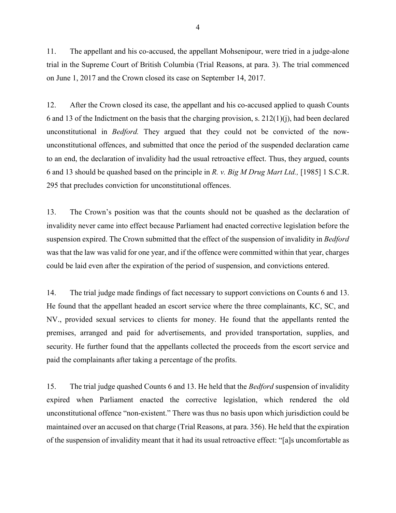11. The appellant and his co-accused, the appellant Mohsenipour, were tried in a judge-alone trial in the Supreme Court of British Columbia (Trial Reasons, at para. 3). The trial commenced on June 1, 2017 and the Crown closed its case on September 14, 2017.

12. After the Crown closed its case, the appellant and his co-accused applied to quash Counts 6 and 13 of the Indictment on the basis that the charging provision, s. 212(1)(j), had been declared unconstitutional in *Bedford.* They argued that they could not be convicted of the nowunconstitutional offences, and submitted that once the period of the suspended declaration came to an end, the declaration of invalidity had the usual retroactive effect. Thus, they argued, counts 6 and 13 should be quashed based on the principle in *R. v. Big M Drug Mart Ltd.,* [1985] 1 S.C.R. 295 that precludes conviction for unconstitutional offences.

13. The Crown's position was that the counts should not be quashed as the declaration of invalidity never came into effect because Parliament had enacted corrective legislation before the suspension expired. The Crown submitted that the effect of the suspension of invalidity in *Bedford*  was that the law was valid for one year, and if the offence were committed within that year, charges could be laid even after the expiration of the period of suspension, and convictions entered.

14. The trial judge made findings of fact necessary to support convictions on Counts 6 and 13. He found that the appellant headed an escort service where the three complainants, KC, SC, and NV., provided sexual services to clients for money. He found that the appellants rented the premises, arranged and paid for advertisements, and provided transportation, supplies, and security. He further found that the appellants collected the proceeds from the escort service and paid the complainants after taking a percentage of the profits.

15. The trial judge quashed Counts 6 and 13. He held that the *Bedford* suspension of invalidity expired when Parliament enacted the corrective legislation, which rendered the old unconstitutional offence "non-existent." There was thus no basis upon which jurisdiction could be maintained over an accused on that charge (Trial Reasons, at para. 356). He held that the expiration of the suspension of invalidity meant that it had its usual retroactive effect: "[a]s uncomfortable as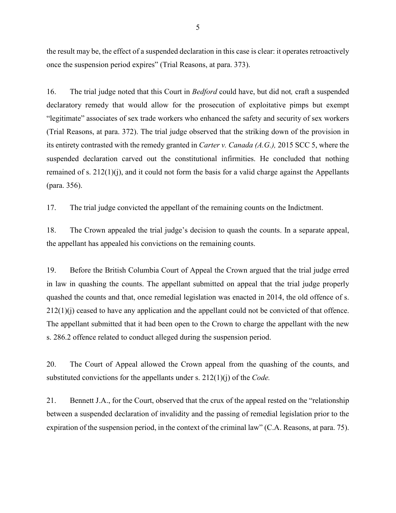the result may be, the effect of a suspended declaration in this case is clear: it operates retroactively once the suspension period expires" (Trial Reasons, at para. 373).

16. The trial judge noted that this Court in *Bedford* could have, but did not*,* craft a suspended declaratory remedy that would allow for the prosecution of exploitative pimps but exempt "legitimate" associates of sex trade workers who enhanced the safety and security of sex workers (Trial Reasons, at para. 372). The trial judge observed that the striking down of the provision in its entirety contrasted with the remedy granted in *Carter v. Canada (A.G.),* 2015 SCC 5, where the suspended declaration carved out the constitutional infirmities. He concluded that nothing remained of s. 212(1)(j), and it could not form the basis for a valid charge against the Appellants (para. 356).

17. The trial judge convicted the appellant of the remaining counts on the Indictment.

18. The Crown appealed the trial judge's decision to quash the counts. In a separate appeal, the appellant has appealed his convictions on the remaining counts.

19. Before the British Columbia Court of Appeal the Crown argued that the trial judge erred in law in quashing the counts. The appellant submitted on appeal that the trial judge properly quashed the counts and that, once remedial legislation was enacted in 2014, the old offence of s. 212(1)(j) ceased to have any application and the appellant could not be convicted of that offence. The appellant submitted that it had been open to the Crown to charge the appellant with the new s. 286.2 offence related to conduct alleged during the suspension period.

20. The Court of Appeal allowed the Crown appeal from the quashing of the counts, and substituted convictions for the appellants under s. 212(1)(j) of the *Code.* 

21. Bennett J.A., for the Court, observed that the crux of the appeal rested on the "relationship between a suspended declaration of invalidity and the passing of remedial legislation prior to the expiration of the suspension period, in the context of the criminal law" (C.A. Reasons, at para. 75).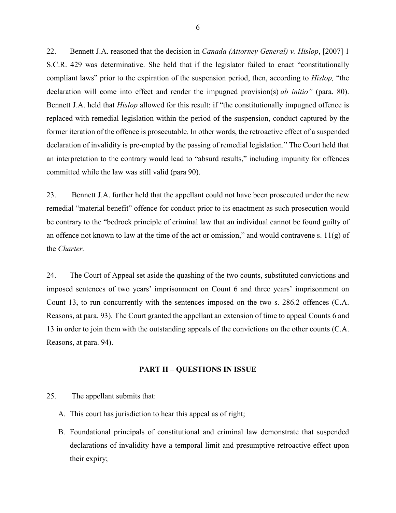<span id="page-7-0"></span>22. Bennett J.A. reasoned that the decision in *Canada (Attorney General) v. Hislop*, [2007] 1 S.C.R. 429 was determinative. She held that if the legislator failed to enact "constitutionally compliant laws" prior to the expiration of the suspension period, then, according to *Hislop,* "the declaration will come into effect and render the impugned provision(s) *ab initio"* (para. 80). Bennett J.A. held that *Hislop* allowed for this result: if "the constitutionally impugned offence is replaced with remedial legislation within the period of the suspension, conduct captured by the former iteration of the offence is prosecutable. In other words, the retroactive effect of a suspended declaration of invalidity is pre-empted by the passing of remedial legislation." The Court held that an interpretation to the contrary would lead to "absurd results," including impunity for offences committed while the law was still valid (para 90).

23. Bennett J.A. further held that the appellant could not have been prosecuted under the new remedial "material benefit" offence for conduct prior to its enactment as such prosecution would be contrary to the "bedrock principle of criminal law that an individual cannot be found guilty of an offence not known to law at the time of the act or omission," and would contravene s.  $11(g)$  of the *Charter.*

24. The Court of Appeal set aside the quashing of the two counts, substituted convictions and imposed sentences of two years' imprisonment on Count 6 and three years' imprisonment on Count 13, to run concurrently with the sentences imposed on the two s. 286.2 offences (C.A. Reasons, at para. 93). The Court granted the appellant an extension of time to appeal Counts 6 and 13 in order to join them with the outstanding appeals of the convictions on the other counts (C.A. Reasons, at para. 94).

#### **PART II – QUESTIONS IN ISSUE**

- 25. The appellant submits that:
	- A. This court has jurisdiction to hear this appeal as of right;
	- B. Foundational principals of constitutional and criminal law demonstrate that suspended declarations of invalidity have a temporal limit and presumptive retroactive effect upon their expiry;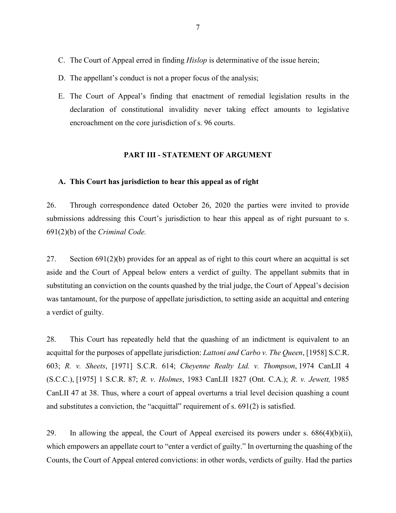- <span id="page-8-0"></span>C. The Court of Appeal erred in finding *Hislop* is determinative of the issue herein;
- D. The appellant's conduct is not a proper focus of the analysis;
- E. The Court of Appeal's finding that enactment of remedial legislation results in the declaration of constitutional invalidity never taking effect amounts to legislative encroachment on the core jurisdiction of s. 96 courts.

## **PART III - STATEMENT OF ARGUMENT**

## **A. This Court has jurisdiction to hear this appeal as of right**

26. Through correspondence dated October 26, 2020 the parties were invited to provide submissions addressing this Court's jurisdiction to hear this appeal as of right pursuant to s. 691(2)(b) of the *Criminal Code.* 

27. Section [691\(2\)\(b\)](https://www.canlii.org/en/ca/laws/stat/rsc-1985-c-c-46/latest/rsc-1985-c-c-46.html#sec691subsec1_smooth) provides for an appeal as of right to this court where an acquittal is set aside and the Court of Appeal below enters a verdict of guilty. The appellant submits that in substituting an conviction on the counts quashed by the trial judge, the Court of Appeal's decision was tantamount, for the purpose of appellate jurisdiction, to setting aside an acquittal and entering a verdict of guilty.

28. This Court has repeatedly held that the quashing of an indictment is equivalent to an acquittal for the purposes of appellate jurisdiction: *[Lattoni and Carbo v. The Queen](https://www.canlii.org/en/ca/scc/doc/1958/1958canlii60/1958canlii60.html)*, [1958] S.C.R. [603;](https://www.canlii.org/en/ca/scc/doc/1958/1958canlii60/1958canlii60.html) *R. v. Sheets*[, \[1971\] S.C.R. 614;](https://www.canlii.org/en/ca/scc/doc/1971/1971canlii130/1971canlii130.html) *[Cheyenne Realty Ltd. v. Thompson](https://www.canlii.org/en/ca/scc/doc/1974/1974canlii4/1974canlii4.html)*, 1974 CanLII 4 (S.C.C.), [\[1975\] 1 S.C.R. 87;](https://www.canlii.org/en/ca/scc/doc/1974/1974canlii4/1974canlii4.html) *R. v. Holmes*[, 1983 CanLII 1827 \(Ont. C.A.\);](https://www.canlii.org/en/on/onca/doc/1983/1983canlii1827/1983canlii1827.html?autocompleteStr=holm&autocompletePos=1) *R. [v. Jewett,](https://www.canlii.org/en/ca/scc/doc/1985/1985canlii47/1985canlii47.html?resultIndex=1)* 1985 [CanLII 47 at 38.](https://www.canlii.org/en/ca/scc/doc/1985/1985canlii47/1985canlii47.html?resultIndex=1) Thus, where a court of appeal overturns a trial level decision quashing a count and substitutes a conviction, the "acquittal" requirement of [s. 691\(2\)](https://www.canlii.org/en/ca/laws/stat/rsc-1985-c-c-46/latest/rsc-1985-c-c-46.html#sec691subsec1_smooth) is satisfied.

29. In allowing the appeal, the Court of Appeal exercised its powers under s.  $686(4)(b)(ii)$ , which empowers an appellate court to "enter a verdict of guilty." In overturning the quashing of the Counts, the Court of Appeal entered convictions: in other words, verdicts of guilty. Had the parties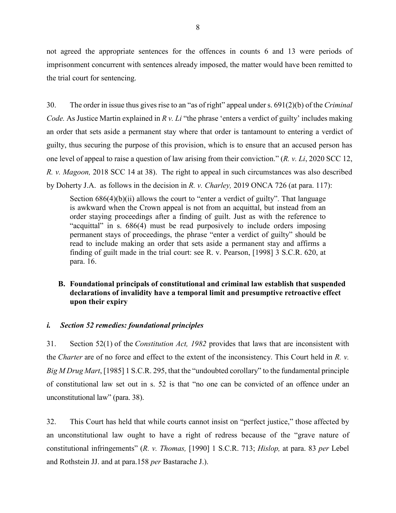<span id="page-9-0"></span>not agreed the appropriate sentences for the offences in counts 6 and 13 were periods of imprisonment concurrent with sentences already imposed, the matter would have been remitted to the trial court for sentencing.

30. The order in issue thus gives rise to an "as of right" appeal under [s. 691\(2\)\(b\)](https://www.canlii.org/en/ca/laws/stat/rsc-1985-c-c-46/latest/rsc-1985-c-c-46.html#sec691subsec1_smooth) of the *Criminal Code.* As Justice Martin explained in *[R v. Li](https://www.canlii.org/en/ca/scc/doc/2020/2020scc12/2020scc12.html?searchUrlHash=AAAAAAAAAAEAFjIwMTkgQkNDQSAzNDQgKENhbkxJSSkAAAABAAwvMjAxOWJjY2EzNDQB)* "the phrase 'enters a verdict of guilty' includes making an order that sets aside a permanent stay where that order is tantamount to entering a verdict of guilty, thus securing the purpose of this provision, which is to ensure that an accused person has one level of appeal to raise a question of law arising from their conviction." (*R. v. Li*[, 2020 SCC 12,](https://www.canlii.org/en/ca/scc/doc/2020/2020scc12/2020scc12.html?searchUrlHash=AAAAAAAAAAEAFjIwMTkgQkNDQSAzNDQgKENhbkxJSSkAAAABAAwvMjAxOWJjY2EzNDQB) *R. v. Magoon,* [2018 SCC 14](https://www.canlii.org/en/ca/scc/doc/2018/2018scc14/2018scc14.html) at 38). The right to appeal in such circumstances was also described by Doherty J.A. as follows in the decision in *R. v. Charley,* [2019 ONCA 726](https://www.canlii.org/en/on/onca/doc/2019/2019onca726/2019onca726.html?resultIndex=1) (at para. 117):

Section  $686(4)(b)(ii)$  allows the court to "enter a verdict of guilty". That language is awkward when the Crown appeal is not from an acquittal, but instead from an order staying proceedings after a finding of guilt. Just as with the reference to "acquittal" in s. 686(4) must be read purposively to include orders imposing permanent stays of proceedings, the phrase "enter a verdict of guilty" should be read to include making an order that sets aside a permanent stay and affirms a finding of guilt made in the trial court: see [R. v. Pearson, \[1998\] 3 S.C.R. 620,](https://www.canlii.org/en/ca/scc/doc/1998/1998canlii776/1998canlii776.html?autocompleteStr=1998%203%20scr%20620&autocompletePos=1) at para. [16.](https://www.canlii.org/en/ca/scc/doc/1998/1998canlii776/1998canlii776.html#par16)

## **B. Foundational principals of constitutional and criminal law establish that suspended declarations of invalidity have a temporal limit and presumptive retroactive effect upon their expiry**

## *i. Section 52 remedies: foundational principles*

31. Section 52(1) of the *[Constitution Act, 1982](https://www.canlii.org/en/ca/laws/stat/schedule-b-to-the-canada-act-1982-uk-1982-c-11/latest/schedule-b-to-the-canada-act-1982-uk-1982-c-11.html)* provides that laws that are inconsistent with the *[Charter](https://www.canlii.org/en/ca/laws/stat/schedule-b-to-the-canada-act-1982-uk-1982-c-11/latest/schedule-b-to-the-canada-act-1982-uk-1982-c-11.html)* are of no force and effect to the extent of the inconsistency. This Court held in *[R. v.](https://www.canlii.org/en/ca/scc/doc/1985/1985canlii69/1985canlii69.html?autocompleteStr=Big%20M%20&autocompletePos=1)  [Big M Drug Mart](https://www.canlii.org/en/ca/scc/doc/1985/1985canlii69/1985canlii69.html?autocompleteStr=Big%20M%20&autocompletePos=1)*[, \[1985\] 1 S.C.R.](https://www.canlii.org/en/ca/scc/doc/1985/1985canlii69/1985canlii69.html?resultIndex=1) 295, that the "undoubted corollary" to the fundamental principle of constitutional law set out in [s. 52](https://laws-lois.justice.gc.ca/eng/Const/page-16.html#h-58) is that "no one can be convicted of an offence under an unconstitutional law" (para. 38).

32. This Court has held that while courts cannot insist on "perfect justice," those affected by an unconstitutional law ought to have a right of redress because of the "grave nature of constitutional infringements" (*R. v. Thomas,* [\[1990\] 1 S.C.R. 713;](https://www.canlii.org/en/ca/scc/doc/1990/1990canlii141/1990canlii141.html?autocompleteStr=1990%201%20SCR%20713&autocompletePos=1) *[Hislop,](https://www.canlii.org/en/ca/scc/doc/2007/2007scc10/2007scc10.html?autocompleteStr=hislop&autocompletePos=1)* at para. 83 *per* Lebel and Rothstein JJ. and at para.158 *per* Bastarache J.).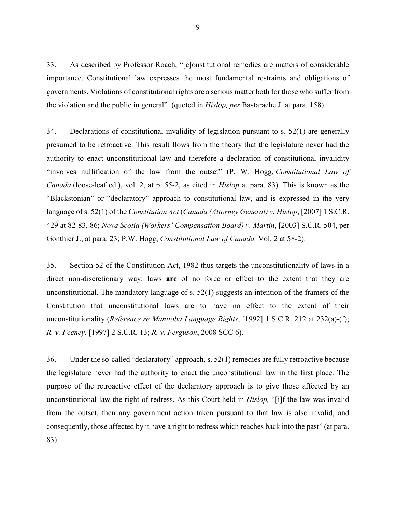33. As described by Professor Roach, "[c]onstitutional remedies are matters of considerable importance. Constitutional law expresses the most fundamental restraints and obligations of governments. Violations of constitutional rights are a serious matter both for those who suffer from the violation and the public in general" (quoted in *[Hislop,](https://www.canlii.org/en/ca/scc/doc/2007/2007scc10/2007scc10.html?autocompleteStr=hislop&autocompletePos=1) per* Bastarache J. at para. 158).

34. Declarations of constitutional invalidity of legislation pursuant to s. 52(1) are generally presumed to be retroactive. This result flows from the theory that the legislature never had the authority to enact unconstitutional law and therefore a declaration of constitutional invalidity "involves nullification of the law from the outset" (P. W. Hogg, *Constitutional Law of Canada* (loose-leaf ed.), vol. 2, at p. 55-2, as cited in *[Hislop](https://www.canlii.org/en/ca/scc/doc/2007/2007scc10/2007scc10.html?autocompleteStr=hislop&autocompletePos=1)* at para. 83). This is known as the "Blackstonian" or "declaratory" approach to constitutional law, and is expressed in the very language of [s. 52\(1\)](https://www.canlii.org/en/ca/scc/doc/2007/2007scc10/2007scc10.html?autocompleteStr=hislop&autocompletePos=1) of the *Constitution Act* (*[Canada \(Attorney General\) v. Hislop](https://www.canlii.org/en/ca/scc/doc/2007/2007scc10/2007scc10.html?autocompleteStr=hisl&autocompletePos=1)*, [2007] 1 S.C.R. [429 at 82-83, 86;](https://www.canlii.org/en/ca/scc/doc/2007/2007scc10/2007scc10.html?autocompleteStr=hisl&autocompletePos=1) *[Nova Scotia \(Workers' Compensation Board\) v. Martin](https://www.canlii.org/en/ca/scc/doc/2003/2003scc54/2003scc54.html?autocompleteStr=2003%20scr%20504&autocompletePos=1)*, [2003] S.C.R. 504, per [Gonthier J., at para. 23;](https://www.canlii.org/en/ca/scc/doc/2003/2003scc54/2003scc54.html?autocompleteStr=2003%20scr%20504&autocompletePos=1) P.W. Hogg, *Constitutional Law of Canada,* Vol. 2 at 58-2).

35. Section 52 of the Constitution Act, 1982 thus targets the unconstitutionality of laws in a direct non-discretionary way: laws **are** of no force or effect to the extent that they are unconstitutional. The mandatory language of s.  $52(1)$  suggests an intention of the framers of the Constitution that unconstitutional laws are to have no effect to the extent of their unconstitutionality (*Reference re Manitoba Language Rights*, [1992] 1 S.C.R. 212 at 232(a)-(f); *[R. v. Feeney](https://www.canlii.org/en/ca/scc/doc/1997/1997canlii342/1997canlii342.html?autocompleteStr=feeney&autocompletePos=1)*, [1997] 2 S.C.R. 13; *R. v. Ferguson*[, 2008 SCC 6\)](https://www.canlii.org/en/ca/scc/doc/2008/2008scc6/2008scc6.html?autocompleteStr=fergu&autocompletePos=1).

36. Under the so-called "declaratory" approach, [s. 52\(1\)](https://laws-lois.justice.gc.ca/eng/Const/page-16.html#h-58) remedies are fully retroactive because the legislature never had the authority to enact the unconstitutional law in the first place. The purpose of the retroactive effect of the declaratory approach is to give those affected by an unconstitutional law the right of redress. As this Court held in *[Hislop,](https://www.canlii.org/en/ca/scc/doc/2007/2007scc10/2007scc10.html?autocompleteStr=hisl&autocompletePos=1)* "[i]f the law was invalid from the outset, then any government action taken pursuant to that law is also invalid, and consequently, those affected by it have a right to redress which reaches back into the past" (at para. 83).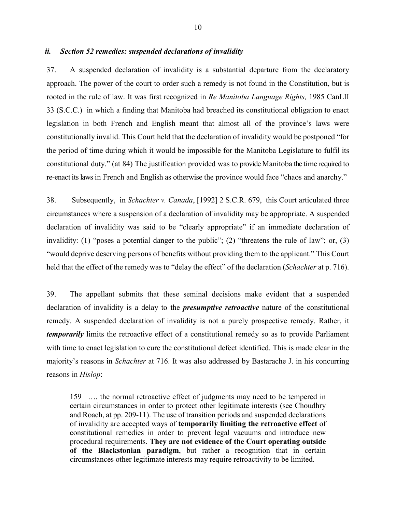## <span id="page-11-0"></span>*ii. Section 52 remedies: suspended declarations of invalidity*

37. A suspended declaration of invalidity is a substantial departure from the declaratory approach. The power of the court to order such a remedy is not found in the Constitution, but is rooted in the rule of law. It was first recognized in *Re Manitoba Language Rights,* [1985 CanLII](https://www.canlii.org/en/ca/scc/doc/1985/1985canlii33/1985canlii33.html)  [33](https://www.canlii.org/en/ca/scc/doc/1985/1985canlii33/1985canlii33.html) (S.C.C.) in which a finding that Manitoba had breached its constitutional obligation to enact legislation in both French and English meant that almost all of the province's laws were constitutionally invalid. This Court held that the declaration of invalidity would be postponed "for the period of time during which it would be impossible for the Manitoba Legislature to fulfil its constitutional duty." (at 84) The justification provided was to provide Manitoba the time required to re-enact its laws in French and English as otherwise the province would face "chaos and anarchy."

38. Subsequently, in *Schachter v. Canada*, [1992] 2 S.C.R. 679, this Court articulated three circumstances where a suspension of a declaration of invalidity may be appropriate. A suspended declaration of invalidity was said to be "clearly appropriate" if an immediate declaration of invalidity: (1) "poses a potential danger to the public"; (2) "threatens the rule of law"; or, (3) "would deprive deserving persons of benefits without providing them to the applicant." This Court held that the effect of the remedy was to "delay the effect" of the declaration (*Schachter* at p. 716).

39. The appellant submits that these seminal decisions make evident that a suspended declaration of invalidity is a delay to the *presumptive retroactive* nature of the constitutional remedy. A suspended declaration of invalidity is not a purely prospective remedy. Rather, it *temporarily* limits the retroactive effect of a constitutional remedy so as to provide Parliament with time to enact legislation to cure the constitutional defect identified. This is made clear in the majority's reasons in *Schachter* at 716. It was also addressed by Bastarache J. in his concurring reasons in *Hislop*:

159 …. the normal retroactive effect of judgments may need to be tempered in certain circumstances in order to protect other legitimate interests (see Choudhry and Roach, at pp. 209-11). The use of transition periods and suspended declarations of invalidity are accepted ways of **temporarily limiting the retroactive effect** of constitutional remedies in order to prevent legal vacuums and introduce new procedural requirements. **They are not evidence of the Court operating outside of the Blackstonian paradigm**, but rather a recognition that in certain circumstances other legitimate interests may require retroactivity to be limited.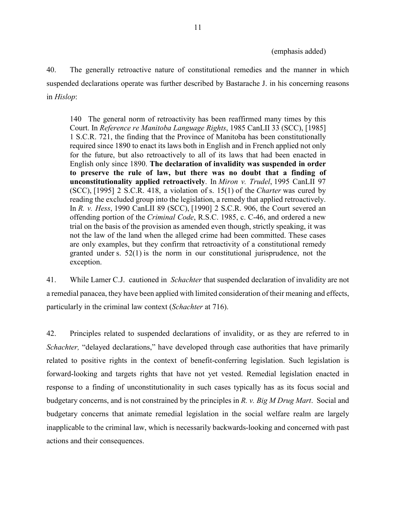#### (emphasis added)

40. The generally retroactive nature of constitutional remedies and the manner in which suspended declarations operate was further described by Bastarache J. in his concerning reasons in *Hislop*:

140 The general norm of retroactivity has been reaffirmed many times by this Court. In *Reference re Manitoba Language Rights*, [1985 CanLII 33 \(SCC\),](https://www.canlii.org/en/ca/scc/doc/1985/1985canlii33/1985canlii33.html) [1985] 1 S.C.R. 721, the finding that the Province of Manitoba has been constitutionally required since 1890 to enact its laws both in English and in French applied not only for the future, but also retroactively to all of its laws that had been enacted in English only since 1890. **The declaration of invalidity was suspended in order to preserve the rule of law, but there was no doubt that a finding of unconstitutionality applied retroactively**. In *Miron v. Trudel*, [1995 CanLII 97](https://www.canlii.org/en/ca/scc/doc/1995/1995canlii97/1995canlii97.html)  [\(SCC\),](https://www.canlii.org/en/ca/scc/doc/1995/1995canlii97/1995canlii97.html) [1995] 2 S.C.R. 418, a violation of [s. 15\(1\)](https://www.canlii.org/en/ca/laws/stat/schedule-b-to-the-canada-act-1982-uk-1982-c-11/latest/schedule-b-to-the-canada-act-1982-uk-1982-c-11.html#sec15subsec1_smooth) of the *[Charter](https://www.canlii.org/en/ca/laws/stat/schedule-b-to-the-canada-act-1982-uk-1982-c-11/latest/schedule-b-to-the-canada-act-1982-uk-1982-c-11.html)* was cured by reading the excluded group into the legislation, a remedy that applied retroactively. In *R. v. Hess*, [1990 CanLII 89 \(SCC\),](https://www.canlii.org/en/ca/scc/doc/1990/1990canlii89/1990canlii89.html) [1990] 2 S.C.R. 906, the Court severed an offending portion of the *Criminal Code*[, R.S.C. 1985, c. C-46,](https://www.canlii.org/en/ca/laws/stat/rsc-1985-c-c-46/latest/rsc-1985-c-c-46.html) and ordered a new trial on the basis of the provision as amended even though, strictly speaking, it was not the law of the land when the alleged crime had been committed. These cases are only examples, but they confirm that retroactivity of a constitutional remedy granted under [s. 52\(1\)](https://www.canlii.org/en/ca/laws/stat/schedule-b-to-the-canada-act-1982-uk-1982-c-11/latest/schedule-b-to-the-canada-act-1982-uk-1982-c-11.html#sec52subsec1_smooth) is the norm in our constitutional jurisprudence, not the exception.

41. While Lamer C.J. cautioned in *Schachter* that suspended declaration of invalidity are not a remedial panacea, they have been applied with limited consideration of their meaning and effects, particularly in the criminal law context (*Schachter* at 716).

42. Principles related to suspended declarations of invalidity, or as they are referred to in *Schachter,* "delayed declarations," have developed through case authorities that have primarily related to positive rights in the context of benefit-conferring legislation. Such legislation is forward-looking and targets rights that have not yet vested. Remedial legislation enacted in response to a finding of unconstitutionality in such cases typically has as its focus social and budgetary concerns, and is not constrained by the principles in *[R. v. Big M Drug Mart](https://www.canlii.org/en/ca/scc/doc/1985/1985canlii69/1985canlii69.html?resultIndex=1)*. Social and budgetary concerns that animate remedial legislation in the social welfare realm are largely inapplicable to the criminal law, which is necessarily backwards-looking and concerned with past actions and their consequences.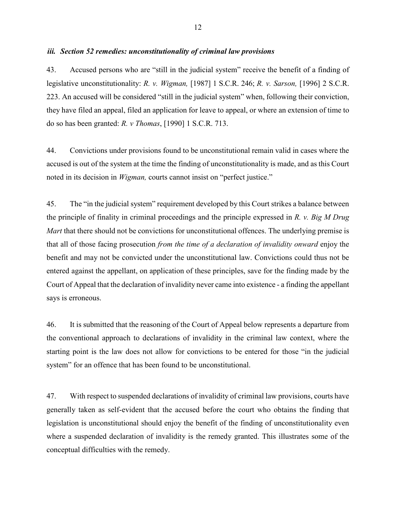### <span id="page-13-0"></span>*iii. Section 52 remedies: unconstitutionality of criminal law provisions*

43. Accused persons who are "still in the judicial system" receive the benefit of a finding of legislative unconstitutionality: *R. v. Wigman,* [\[1987\] 1 S.C.R. 246;](https://www.canlii.org/en/ca/scc/doc/1985/1985canlii1/1985canlii1.html?autocompleteStr=wigman&autocompletePos=1) *R. v. Sarson,* [\[1996\] 2 S.C.R.](https://www.canlii.org/en/ca/scc/doc/1996/1996canlii200/1996canlii200.html?autocompleteStr=sarson&autocompletePos=1) [223](https://www.canlii.org/en/ca/scc/doc/1996/1996canlii200/1996canlii200.html?autocompleteStr=sarson&autocompletePos=1). An accused will be considered "still in the judicial system" when, following their conviction, they have filed an appeal, filed an application for leave to appeal, or where an extension of time to do so has been granted: *[R. v Thomas](https://www.canlii.org/en/ca/scc/doc/1990/1990canlii141/1990canlii141.html?autocompleteStr=1990%201%20SCR%20713&autocompletePos=1)*, [1990] 1 S.C.R. 713.

44. Convictions under provisions found to be unconstitutional remain valid in cases where the accused is out of the system at the time the finding of unconstitutionality is made, and as this Court noted in its decision in *[Wigman,](https://www.canlii.org/en/ca/scc/doc/1985/1985canlii1/1985canlii1.html?autocompleteStr=wigman&autocompletePos=1)* courts cannot insist on "perfect justice."

45. The "in the judicial system" requirement developed by this Court strikes a balance between the principle of finality in criminal proceedings and the principle expressed in *[R. v. Big M Drug](https://www.canlii.org/en/ca/scc/doc/1985/1985canlii69/1985canlii69.html?autocompleteStr=R%20v.%20Big%20M&autocompletePos=1)  [Mart](https://www.canlii.org/en/ca/scc/doc/1985/1985canlii69/1985canlii69.html?autocompleteStr=R%20v.%20Big%20M&autocompletePos=1)* that there should not be convictions for unconstitutional offences. The underlying premise is that all of those facing prosecution *from the time of a declaration of invalidity onward* enjoy the benefit and may not be convicted under the unconstitutional law. Convictions could thus not be entered against the appellant, on application of these principles, save for the finding made by the Court of Appeal that the declaration of invalidity never came into existence - a finding the appellant says is erroneous.

46. It is submitted that the reasoning of the Court of Appeal below represents a departure from the conventional approach to declarations of invalidity in the criminal law context, where the starting point is the law does not allow for convictions to be entered for those "in the judicial system" for an offence that has been found to be unconstitutional.

47. With respect to suspended declarations of invalidity of criminal law provisions, courts have generally taken as self-evident that the accused before the court who obtains the finding that legislation is unconstitutional should enjoy the benefit of the finding of unconstitutionality even where a suspended declaration of invalidity is the remedy granted. This illustrates some of the conceptual difficulties with the remedy.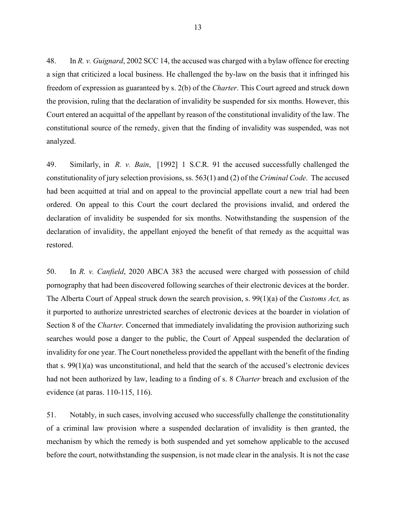48. In *R. v. Guignard*[, 2002 SCC 14,](https://www.canlii.org/en/ca/scc/doc/2002/2002scc14/2002scc14.html?autocompleteStr=guign&autocompletePos=1) the accused was charged with a bylaw offence for erecting a sign that criticized a local business. He challenged the by-law on the basis that it infringed his freedom of expression as guaranteed by s. 2(b) of the *Charter*. This Court agreed and struck down the provision, ruling that the declaration of invalidity be suspended for six months. However, this Court entered an acquittal of the appellant by reason of the constitutional invalidity of the law. The constitutional source of the remedy, given that the finding of invalidity was suspended, was not analyzed.

49. Similarly, in *R. v. Bain*[, \[1992\]](https://www.canlii.org/en/ca/scc/doc/1992/1992canlii111/1992canlii111.html?autocompleteStr=%5B1992%5D%20SCJ%20NO.%203%20&autocompletePos=1) 1 S.C.R. 91 the accused successfully challenged the constitutionality of jury selection provisions, ss. 563(1) and (2) of the *Criminal Code*. The accused had been acquitted at trial and on appeal to the provincial appellate court a new trial had been ordered. On appeal to this Court the court declared the provisions invalid, and ordered the declaration of invalidity be suspended for six months. Notwithstanding the suspension of the declaration of invalidity, the appellant enjoyed the benefit of that remedy as the acquittal was restored.

50. In *R. v. Canfield*[, 2020 ABCA 383](https://www.canlii.org/en/ab/abca/doc/2020/2020abca383/2020abca383.html?resultIndex=1) the accused were charged with possession of child pornography that had been discovered following searches of their electronic devices at the border. The Alberta Court of Appeal struck down the search provision, s. 99(1)(a) of the *Customs Act,* as it purported to authorize unrestricted searches of electronic devices at the boarder in violation of Section 8 of the *Charter.* Concerned that immediately invalidating the provision authorizing such searches would pose a danger to the public, the Court of Appeal suspended the declaration of invalidity for one year. The Court nonetheless provided the appellant with the benefit of the finding that s. 99(1)(a) was unconstitutional, and held that the search of the accused's electronic devices had not been authorized by law, leading to a finding of s. 8 *Charter* breach and exclusion of the evidence (at paras. 110-115, 116).

51. Notably, in such cases, involving accused who successfully challenge the constitutionality of a criminal law provision where a suspended declaration of invalidity is then granted, the mechanism by which the remedy is both suspended and yet somehow applicable to the accused before the court, notwithstanding the suspension, is not made clear in the analysis. It is not the case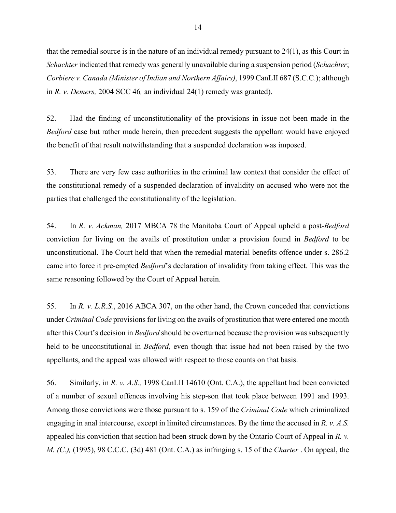that the remedial source is in the nature of an individual remedy pursuant to  $24(1)$ , as this Court in *Schachter* indicated that remedy was generally unavailable during a suspension period (*Schachter*; *Corbiere v. Canada (Minister of Indian and Northern Affairs)*, 1999 CanLII 687 (S.C.C.); although in *R. v. Demers,* 2004 SCC 46*,* an individual 24(1) remedy was granted).

52. Had the finding of unconstitutionality of the provisions in issue not been made in the *Bedford* case but rather made herein, then precedent suggests the appellant would have enjoyed the benefit of that result notwithstanding that a suspended declaration was imposed.

53. There are very few case authorities in the criminal law context that consider the effect of the constitutional remedy of a suspended declaration of invalidity on accused who were not the parties that challenged the constitutionality of the legislation.

54. In *R. v. Ackman,* [2017 MBCA 78](https://www.canlii.org/en/mb/mbca/doc/2017/2017mbca78/2017mbca78.html?resultIndex=1) the Manitoba Court of Appeal upheld a post-*Bedford* conviction for living on the avails of prostitution under a provision found in *Bedford* to be unconstitutional. The Court held that when the remedial material benefits offence under [s. 286.2](https://laws-lois.justice.gc.ca/eng/acts/C-46/page-65.html#docCont) came into force it pre-empted *Bedford*'s declaration of invalidity from taking effect. This was the same reasoning followed by the Court of Appeal herein.

55. In *R. v. L.R.S.*[, 2016 ABCA 307,](https://www.canlii.org/en/ab/abca/doc/2016/2016abca307/2016abca307.html?autocompleteStr=2016%20ABCA%20307&autocompletePos=1) on the other hand, the Crown conceded that convictions under *Criminal Code* provisions for living on the avails of prostitution that were entered one month after this Court's decision in *Bedford* should be overturned because the provision was subsequently held to be unconstitutional in *Bedford,* even though that issue had not been raised by the two appellants, and the appeal was allowed with respect to those counts on that basis.

56. Similarly, in *R. v. A.S.,* [1998 CanLII 14610 \(Ont. C.A.\),](https://www.canlii.org/en/on/onca/doc/1998/1998canlii14610/1998canlii14610.html?resultIndex=1) the appellant had been convicted of a number of sexual offences involving his step-son that took place between 1991 and 1993. Among those convictions were those pursuant to s. 159 of the *Criminal Code* which criminalized engaging in anal intercourse, except in limited circumstances. By the time the accused in *R. v. A.S.*  appealed his conviction that section had been struck down by the Ontario Court of Appeal in *R. v. M. (C.),* (1995), 98 C.C.C. (3d) 481 (Ont. C.A.) as infringing s. 15 of the *Charter* . On appeal, the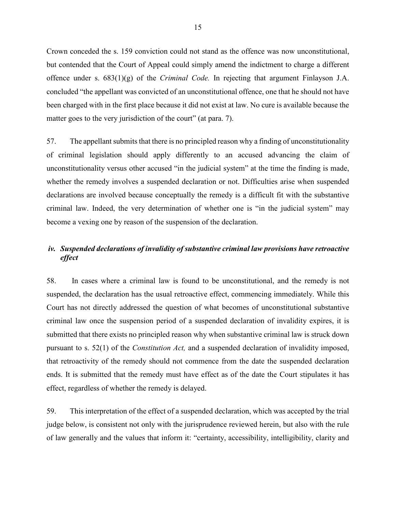<span id="page-16-0"></span>Crown conceded the s. 159 conviction could not stand as the offence was now unconstitutional, but contended that the Court of Appeal could simply amend the indictment to charge a different offence under s. 683(1)(g) of the *Criminal Code.* In rejecting that argument Finlayson J.A. concluded "the appellant was convicted of an unconstitutional offence, one that he should not have been charged with in the first place because it did not exist at law. No cure is available because the matter goes to the very jurisdiction of the court" (at para. 7).

57. The appellant submits that there is no principled reason why a finding of unconstitutionality of criminal legislation should apply differently to an accused advancing the claim of unconstitutionality versus other accused "in the judicial system" at the time the finding is made, whether the remedy involves a suspended declaration or not. Difficulties arise when suspended declarations are involved because conceptually the remedy is a difficult fit with the substantive criminal law. Indeed, the very determination of whether one is "in the judicial system" may become a vexing one by reason of the suspension of the declaration.

## *iv. Suspended declarations of invalidity of substantive criminal law provisions have retroactive effect*

58. In cases where a criminal law is found to be unconstitutional, and the remedy is not suspended, the declaration has the usual retroactive effect, commencing immediately. While this Court has not directly addressed the question of what becomes of unconstitutional substantive criminal law once the suspension period of a suspended declaration of invalidity expires, it is submitted that there exists no principled reason why when substantive criminal law is struck down pursuant to s. 52(1) of the *Constitution Act,* and a suspended declaration of invalidity imposed, that retroactivity of the remedy should not commence from the date the suspended declaration ends. It is submitted that the remedy must have effect as of the date the Court stipulates it has effect, regardless of whether the remedy is delayed.

59. This interpretation of the effect of a suspended declaration, which was accepted by the trial judge below, is consistent not only with the jurisprudence reviewed herein, but also with the rule of law generally and the values that inform it: "certainty, accessibility, intelligibility, clarity and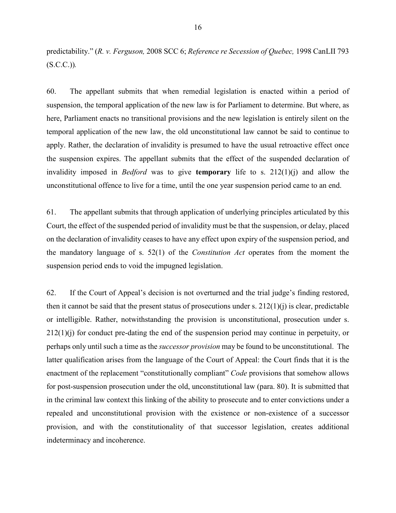predictability." (*R. [v. Ferguson,](https://www.canlii.org/en/ca/scc/doc/2008/2008scc6/2008scc6.html?autocompleteStr=fergu&autocompletePos=1)* 2008 SCC 6; *Reference re [Secession of Quebec,](https://www.canlii.org/en/ca/scc/doc/1998/1998canlii793/1998canlii793.html)* 1998 CanLII 793 [\(S.C.C.\)\)](https://www.canlii.org/en/ca/scc/doc/1998/1998canlii793/1998canlii793.html)*.*

60. The appellant submits that when remedial legislation is enacted within a period of suspension, the temporal application of the new law is for Parliament to determine. But where, as here, Parliament enacts no transitional provisions and the new legislation is entirely silent on the temporal application of the new law, the old unconstitutional law cannot be said to continue to apply. Rather, the declaration of invalidity is presumed to have the usual retroactive effect once the suspension expires. The appellant submits that the effect of the suspended declaration of invalidity imposed in *[Bedford](https://digitalcommons.osgoode.yorku.ca/cgi/viewcontent.cgi?article=1165&context=sclr)* was to give **temporary** life to s. [212\(1\)\(j\)](https://laws-lois.justice.gc.ca/eng/acts/C-46/section-212-20051101.html) and allow the unconstitutional offence to live for a time, until the one year suspension period came to an end.

61. The appellant submits that through application of underlying principles articulated by this Court, the effect of the suspended period of invalidity must be that the suspension, or delay, placed on the declaration of invalidity ceases to have any effect upon expiry of the suspension period, and the mandatory language of s. 52(1) of the *Constitution Act* operates from the moment the suspension period ends to void the impugned legislation.

62. If the Court of Appeal's decision is not overturned and the trial judge's finding restored, then it cannot be said that the present status of prosecutions under s.  $212(1)(i)$  is clear, predictable or intelligible. Rather, notwithstanding the provision is unconstitutional, prosecution under [s.](https://laws-lois.justice.gc.ca/eng/acts/C-46/section-212-20051101.html)   $212(1)(i)$  for conduct pre-dating the end of the suspension period may continue in perpetuity, or perhaps only until such a time as the *successor provision* may be found to be unconstitutional. The latter qualification arises from the language of the Court of Appeal: the Court finds that it is the enactment of the replacement "constitutionally compliant" *Code* provisions that somehow allows for post-suspension prosecution under the old, unconstitutional law (para. 80). It is submitted that in the criminal law context this linking of the ability to prosecute and to enter convictions under a repealed and unconstitutional provision with the existence or non-existence of a successor provision, and with the constitutionality of that successor legislation, creates additional indeterminacy and incoherence.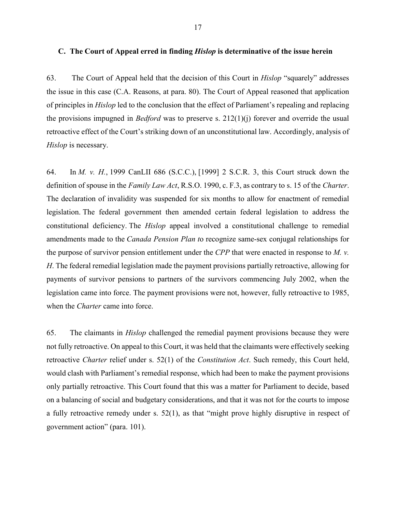<span id="page-18-0"></span>63. The Court of Appeal held that the decision of this Court in *[Hislop](https://www.canlii.org/en/ca/scc/doc/2007/2007scc10/2007scc10.html?autocompleteStr=hisl&autocompletePos=1)* "squarely" addresses the issue in this case (C.A. Reasons, at para. 80). The Court of Appeal reasoned that application of principles in *[Hislop](https://www.canlii.org/en/ca/scc/doc/2007/2007scc10/2007scc10.html?autocompleteStr=hislop&autocompletePos=1)* led to the conclusion that the effect of Parliament's repealing and replacing the provisions impugned in *[Bedford](https://www.canlii.org/en/ca/scc/doc/2013/2013scc72/2013scc72.html?autocompleteStr=bedford&autocompletePos=1)* was to preserve s. [212\(1\)\(j\)](https://laws-lois.justice.gc.ca/eng/acts/C-46/section-212-20051101.html) forever and override the usual retroactive effect of the Court's striking down of an unconstitutional law. Accordingly, analysis of *[Hislop](https://www.canlii.org/en/ca/scc/doc/2007/2007scc10/2007scc10.html?autocompleteStr=hislop&autocompletePos=1)* is necessary.

64. In *M. v. H.*, [1999 CanLII 686 \(S.C.C.\),](https://www.canlii.org/en/ca/scc/doc/1999/1999canlii686/1999canlii686.html?autocompleteStr=1999%20Canlii%20686&autocompletePos=1) [1999] 2 S.C.R. 3, this Court struck down the definition of spouse in the *Family Law Act*[, R.S.O. 1990, c. F.3,](https://www.canlii.org/en/on/laws/stat/rso-1990-c-f3/latest/rso-1990-c-f3.html) as contrary to s. 15 of the *Charter*. The declaration of invalidity was suspended for six months to allow for enactment of remedial legislation. The federal government then amended certain federal legislation to address the constitutional deficiency. The *Hislop* appeal involved a constitutional challenge to remedial amendments made to the *Canada Pension Plan t*o recognize same-sex conjugal relationships for the purpose of survivor pension entitlement under the *CPP* that were enacted in response to *M. v. H*. The federal remedial legislation made the payment provisions partially retroactive, allowing for payments of survivor pensions to partners of the survivors commencing July 2002, when the legislation came into force. The payment provisions were not, however, fully retroactive to 1985, when the *Charter* came into force.

65. The claimants in *[Hislop](https://www.canlii.org/en/ca/scc/doc/2007/2007scc10/2007scc10.html?autocompleteStr=hislop&autocompletePos=1)* challenged the remedial payment provisions because they were not fully retroactive. On appeal to this Court, it was held that the claimants were effectively seeking retroactive *Charter* relief under s. 52(1) of the *Constitution Act*. Such remedy, this Court held, would clash with Parliament's remedial response, which had been to make the payment provisions only partially retroactive. This Court found that this was a matter for Parliament to decide, based on a balancing of social and budgetary considerations, and that it was not for the courts to impose a fully retroactive remedy under s. 52(1), as that "might prove highly disruptive in respect of government action" (para. 101).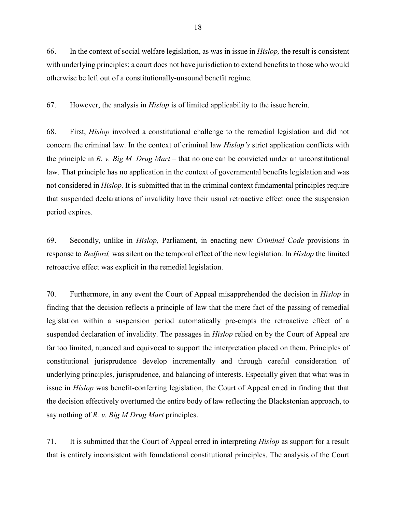66. In the context of social welfare legislation, as was in issue in *[Hislop,](https://www.canlii.org/en/ca/scc/doc/2007/2007scc10/2007scc10.html?autocompleteStr=hislop&autocompletePos=1)* the result is consistent with underlying principles: a court does not have jurisdiction to extend benefits to those who would otherwise be left out of a constitutionally-unsound benefit regime.

67. However, the analysis in *[Hislop](https://www.canlii.org/en/ca/scc/doc/2007/2007scc10/2007scc10.html?autocompleteStr=hislop&autocompletePos=1)* is of limited applicability to the issue herein.

68. First, *[Hislop](https://www.canlii.org/en/ca/scc/doc/2007/2007scc10/2007scc10.html?autocompleteStr=hislop&autocompletePos=1)* involved a constitutional challenge to the remedial legislation and did not concern the criminal law. In the context of criminal law *Hislop's* strict application conflicts with the principle in *R. v. [Big M Drug Mart](https://www.canlii.org/en/ca/scc/doc/1985/1985canlii69/1985canlii69.html?resultIndex=1) –* that no one can be convicted under an unconstitutional law. That principle has no application in the context of governmental benefits legislation and was not considered in *[Hislop.](https://www.canlii.org/en/ca/scc/doc/2007/2007scc10/2007scc10.html?autocompleteStr=hislop&autocompletePos=1)* It is submitted that in the criminal context fundamental principles require that suspended declarations of invalidity have their usual retroactive effect once the suspension period expires.

69. Secondly, unlike in *[Hislop,](https://www.canlii.org/en/ca/scc/doc/2007/2007scc10/2007scc10.html?autocompleteStr=hislop&autocompletePos=1)* Parliament, in enacting new *Criminal Code* provisions in response to *[Bedford,](https://www.canlii.org/en/ca/scc/doc/2013/2013scc72/2013scc72.html?autocompleteStr=bedford&autocompletePos=1)* was silent on the temporal effect of the new legislation. In *[Hislop](https://www.canlii.org/en/ca/scc/doc/2007/2007scc10/2007scc10.html?autocompleteStr=hislop&autocompletePos=1)* the limited retroactive effect was explicit in the remedial legislation.

70. Furthermore, in any event the Court of Appeal misapprehended the decision in *[Hislop](https://www.canlii.org/en/ca/scc/doc/2007/2007scc10/2007scc10.html?autocompleteStr=hislop&autocompletePos=1)* in finding that the decision reflects a principle of law that the mere fact of the passing of remedial legislation within a suspension period automatically pre-empts the retroactive effect of a suspended declaration of invalidity. The passages in *Hislop* relied on by the Court of Appeal are far too limited, nuanced and equivocal to support the interpretation placed on them. Principles of constitutional jurisprudence develop incrementally and through careful consideration of underlying principles, jurisprudence, and balancing of interests. Especially given that what was in issue in *[Hislop](https://www.canlii.org/en/ca/scc/doc/2007/2007scc10/2007scc10.html?autocompleteStr=hislop&autocompletePos=1)* was benefit-conferring legislation, the Court of Appeal erred in finding that that the decision effectively overturned the entire body of law reflecting the Blackstonian approach, to say nothing of *[R. v. Big M Drug Mart](https://www.canlii.org/en/ca/scc/doc/1985/1985canlii69/1985canlii69.html?resultIndex=1)* principles.

71. It is submitted that the Court of Appeal erred in interpreting *[Hislop](https://www.canlii.org/en/ca/scc/doc/1985/1985canlii69/1985canlii69.html?resultIndex=1)* as support for a result that is entirely inconsistent with foundational constitutional principles. The analysis of the Court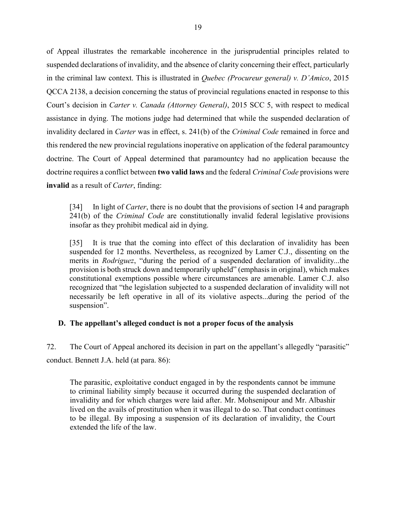<span id="page-20-0"></span>of Appeal illustrates the remarkable incoherence in the jurisprudential principles related to suspended declarations of invalidity, and the absence of clarity concerning their effect, particularly in the criminal law context. This is illustrated in *[Quebec \(Procureur general\) v. D'Amico](https://www.canlii.org/en/qc/qcca/doc/2015/2015qcca2138/2015qcca2138.html?autocompleteStr=2015%20QCCA%202138&autocompletePos=1)*, 2015 [QCCA 2138,](https://www.canlii.org/en/qc/qcca/doc/2015/2015qcca2138/2015qcca2138.html?autocompleteStr=2015%20QCCA%202138&autocompletePos=1) a decision concerning the status of provincial regulations enacted in response to this Court's decision in *[Carter v. Canada \(Attorney General\)](https://www.canlii.org/en/ca/scc/doc/2015/2015scc5/2015scc5.html)*, 2015 SCC 5, with respect to medical assistance in dying. The motions judge had determined that while the suspended declaration of invalidity declared in *[Carter](https://www.canlii.org/en/ca/scc/doc/2015/2015scc5/2015scc5.html)* was in effect, s. 241(b) of the *Criminal Code* remained in force and this rendered the new provincial regulations inoperative on application of the federal paramountcy doctrine. The Court of Appeal determined that paramountcy had no application because the doctrine requires a conflict between **two valid laws** and the federal *Criminal Code* provisions were **invalid** as a result of *Carter*, finding:

[34] In light of *Carter*, there is no doubt that the provisions of section 14 and paragraph 241(b) of the *Criminal Code* are constitutionally invalid federal legislative provisions insofar as they prohibit medical aid in dying.

[35] It is true that the coming into effect of this declaration of invalidity has been suspended for 12 months. Nevertheless, as recognized by Lamer C.J., dissenting on the merits in *Rodriguez*, "during the period of a suspended declaration of invalidity...the provision is both struck down and temporarily upheld" (emphasis in original), which makes constitutional exemptions possible where circumstances are amenable. Lamer C.J. also recognized that "the legislation subjected to a suspended declaration of invalidity will not necessarily be left operative in all of its violative aspects...during the period of the suspension".

## **D. The appellant's alleged conduct is not a proper focus of the analysis**

72. The Court of Appeal anchored its decision in part on the appellant's allegedly "parasitic" conduct. Bennett J.A. held (at para. 86):

The parasitic, exploitative conduct engaged in by the respondents cannot be immune to criminal liability simply because it occurred during the suspended declaration of invalidity and for which charges were laid after. Mr. Mohsenipour and Mr. Albashir lived on the avails of prostitution when it was illegal to do so. That conduct continues to be illegal. By imposing a suspension of its declaration of invalidity, the Court extended the life of the law.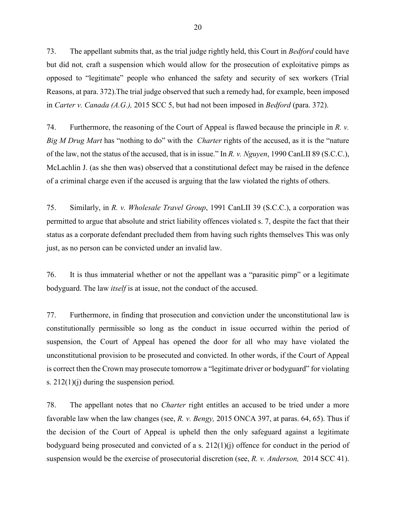73. The appellant submits that, as the trial judge rightly held, this Court in *[Bedford](https://www.canlii.org/en/ca/scc/doc/2013/2013scc72/2013scc72.html?autocompleteStr=bedford&autocompletePos=1)* could have but did not*,* craft a suspension which would allow for the prosecution of exploitative pimps as opposed to "legitimate" people who enhanced the safety and security of sex workers (Trial Reasons, at para. 372).The trial judge observed that such a remedy had, for example, been imposed in *[Carter v. Canada \(A.G.\),](https://www.canlii.org/en/ca/scc/doc/2015/2015scc5/2015scc5.html?autocompleteStr=carter%20v.%20canada&autocompletePos=1https://www.canlii.org/en/ca/scc/doc/2015/2015scc5/2015scc5.html?autocompleteStr=carter%20v.%20canada&autocompletePos=1)* 2015 SCC 5, but had not been imposed in *[Bedford](https://www.canlii.org/en/ca/scc/doc/2013/2013scc72/2013scc72.html?autocompleteStr=bedford&autocompletePos=1)* (para. 372).

74. Furthermore, the reasoning of the Court of Appeal is flawed because the principle in *[R. v.](https://www.canlii.org/en/ca/scc/doc/1985/1985canlii69/1985canlii69.html?resultIndex=1)  [Big M Drug Mart](https://www.canlii.org/en/ca/scc/doc/1985/1985canlii69/1985canlii69.html?resultIndex=1)* has "nothing to do" with the *Charter* rights of the accused, as it is the "nature of the law, not the status of the accused, that is in issue." In *R. v. Nguyen*[, 1990 CanLII 89 \(S.C.C.\),](https://www.canlii.org/en/ca/scc/doc/1990/1990canlii89/1990canlii89.html?searchUrlHash=AAAAAQALIm9ubHkganVzdCIAAAAAAQ&resultIndex=1) McLachlin J. (as she then was) observed that a constitutional defect may be raised in the defence of a criminal charge even if the accused is arguing that the law violated the rights of others.

75. Similarly, in *R. [v. Wholesale Travel Group](https://www.canlii.org/en/ca/scc/doc/1991/1991canlii39/1991canlii39.html?resultIndex=1)*, 1991 CanLII 39 (S.C.C.), a corporation was permitted to argue that absolute and strict liability offences violated s. 7, despite the fact that their status as a corporate defendant precluded them from having such rights themselves This was only just, as no person can be convicted under an invalid law.

76. It is thus immaterial whether or not the appellant was a "parasitic pimp" or a legitimate bodyguard. The law *itself* is at issue, not the conduct of the accused.

77. Furthermore, in finding that prosecution and conviction under the unconstitutional law is constitutionally permissible so long as the conduct in issue occurred within the period of suspension, the Court of Appeal has opened the door for all who may have violated the unconstitutional provision to be prosecuted and convicted. In other words, if the Court of Appeal is correct then the Crown may prosecute tomorrow a "legitimate driver or bodyguard" for violating [s. 212\(1\)\(j\)](https://laws-lois.justice.gc.ca/eng/acts/C-46/section-212-20051101.html) during the suspension period.

78. The appellant notes that no *Charter* right entitles an accused to be tried under a more favorable law when the law changes (see, *R. v. Bengy,* [2015 ONCA 397, at paras. 64, 65\)](https://www.canlii.org/en/on/onca/doc/2015/2015onca397/2015onca397.html?autocompleteStr=r%20v.%20bengy&autocompletePos=1). Thus if the decision of the Court of Appeal is upheld then the only safeguard against a legitimate bodyguard being prosecuted and convicted of a [s. 212\(1\)\(j\)](https://laws-lois.justice.gc.ca/eng/acts/C-46/section-212-20051101.html) offence for conduct in the period of suspension would be the exercise of prosecutorial discretion (see, *[R. v. Anderson,](https://www.canlii.org/en/ca/scc/doc/2014/2014scc41/2014scc41.html?resultIndex=1)* 2014 SCC 41).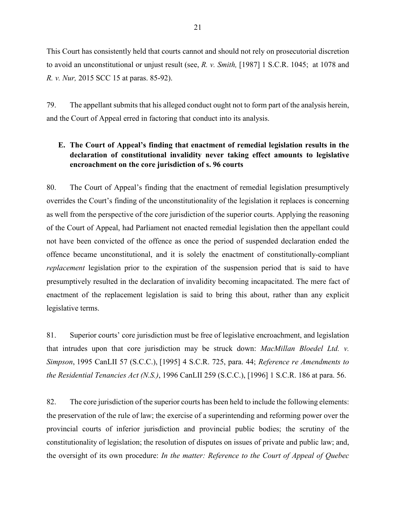<span id="page-22-0"></span>This Court has consistently held that courts cannot and should not rely on prosecutorial discretion to avoid an unconstitutional or unjust result (see, *R. v. Smith,* [\[1987\] 1 S.C.R. 1045;](https://www.canlii.org/en/ca/scc/doc/1987/1987canlii64/1987canlii64.html) at 1078 and *R. v. Nur,* [2015 SCC 15 at paras. 85-92\)](https://www.canlii.org/en/ca/scc/doc/2015/2015scc15/2015scc15.html?autocompleteStr=2015%20scc%2015&autocompletePos=1).

79. The appellant submits that his alleged conduct ought not to form part of the analysis herein, and the Court of Appeal erred in factoring that conduct into its analysis.

## **E. The Court of Appeal's finding that enactment of remedial legislation results in the declaration of constitutional invalidity never taking effect amounts to legislative encroachment on the core jurisdiction of s. 96 courts**

80. The Court of Appeal's finding that the enactment of remedial legislation presumptively overrides the Court's finding of the unconstitutionality of the legislation it replaces is concerning as well from the perspective of the core jurisdiction of the superior courts. Applying the reasoning of the Court of Appeal, had Parliament not enacted remedial legislation then the appellant could not have been convicted of the offence as once the period of suspended declaration ended the offence became unconstitutional, and it is solely the enactment of constitutionally-compliant *replacement* legislation prior to the expiration of the suspension period that is said to have presumptively resulted in the declaration of invalidity becoming incapacitated. The mere fact of enactment of the replacement legislation is said to bring this about, rather than any explicit legislative terms.

81. Superior courts' core jurisdiction must be free of legislative encroachment, and legislation that intrudes upon that core jurisdiction may be struck down: *[MacMillan Bloedel Ltd. v.](https://www.canlii.org/en/ca/scc/doc/1995/1995canlii57/1995canlii57.html?resultIndex=1)  Simpson*, [1995 CanLII 57 \(S.C.C.\),](https://www.canlii.org/en/ca/scc/doc/1995/1995canlii57/1995canlii57.html?resultIndex=1) [1995] 4 S.C.R. 725, para. 44; *[Reference re Amendments to](https://www.canlii.org/en/ca/scc/doc/1996/1996canlii259/1996canlii259.html?autocompleteStr=1996%20canlii%20259&autocompletePos=1)  [the Residential Tenancies Act \(N.S.\)](https://www.canlii.org/en/ca/scc/doc/1996/1996canlii259/1996canlii259.html?autocompleteStr=1996%20canlii%20259&autocompletePos=1)*, 1996 CanLII 259 (S.C.C.), [1996] 1 S.C.R. 186 at para. [56.](https://www.canlii.org/en/ca/scc/doc/1996/1996canlii259/1996canlii259.html#par56)

82. The core jurisdiction of the superior courts has been held to include the following elements: the preservation of the rule of law; the exercise of a superintending and reforming power over the provincial courts of inferior jurisdiction and provincial public bodies; the scrutiny of the constitutionality of legislation; the resolution of disputes on issues of private and public law; and, the oversight of its own procedure: *In [the matter: Reference to the Court of Appeal of Quebec](https://www.canlii.org/en/qc/qcca/doc/2019/2019qcca1492/2019qcca1492.html?resultIndex=1)*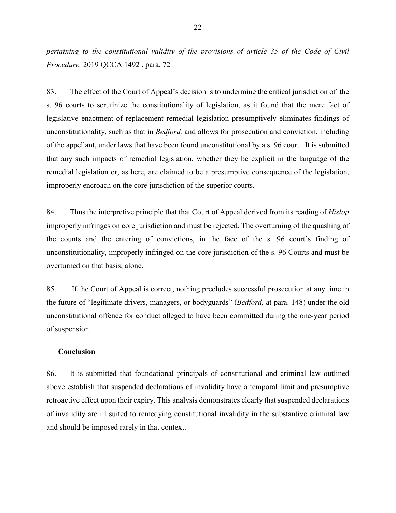<span id="page-23-0"></span>*[pertaining to the constitutional validity of the provisions of article 35 of the Code of Civil](https://www.canlii.org/en/qc/qcca/doc/2019/2019qcca1492/2019qcca1492.html?resultIndex=1)  Procedure,* [2019 QCCA 1492](https://www.canlii.org/en/qc/qcca/doc/2019/2019qcca1492/2019qcca1492.html?resultIndex=1) , para. 72

83. The effect of the Court of Appeal's decision is to undermine the critical jurisdiction of the s. 96 courts to scrutinize the constitutionality of legislation, as it found that the mere fact of legislative enactment of replacement remedial legislation presumptively eliminates findings of unconstitutionality, such as that in *Bedford*, and allows for prosecution and conviction, including of the appellant, under laws that have been found unconstitutional by a s. 96 court. It is submitted that any such impacts of remedial legislation, whether they be explicit in the language of the remedial legislation or, as here, are claimed to be a presumptive consequence of the legislation, improperly encroach on the core jurisdiction of the superior courts.

84. Thus the interpretive principle that that Court of Appeal derived from its reading of *[Hislop](https://www.canlii.org/en/ca/scc/doc/2007/2007scc10/2007scc10.html?autocompleteStr=hislop&autocompletePos=1)* improperly infringes on core jurisdiction and must be rejected. The overturning of the quashing of the counts and the entering of convictions, in the face of the s. 96 court's finding of unconstitutionality, improperly infringed on the core jurisdiction of the s. 96 Courts and must be overturned on that basis, alone.

85. If the Court of Appeal is correct, nothing precludes successful prosecution at any time in the future of "legitimate drivers, managers, or bodyguards" (*[Bedford,](https://www.canlii.org/en/ca/scc/doc/2013/2013scc72/2013scc72.html?autocompleteStr=bedford&autocompletePos=1)* at para. 148) under the old unconstitutional offence for conduct alleged to have been committed during the one-year period of suspension.

#### **Conclusion**

86. It is submitted that foundational principals of constitutional and criminal law outlined above establish that suspended declarations of invalidity have a temporal limit and presumptive retroactive effect upon their expiry. This analysis demonstrates clearly that suspended declarations of invalidity are ill suited to remedying constitutional invalidity in the substantive criminal law and should be imposed rarely in that context.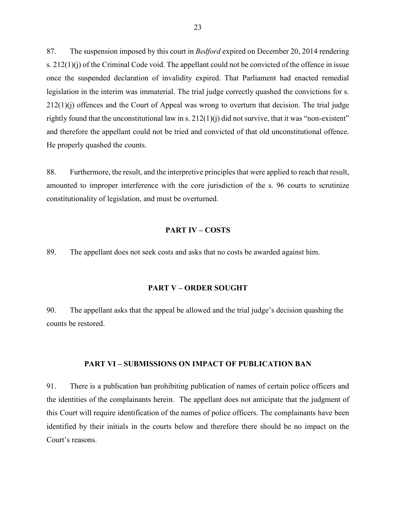<span id="page-24-0"></span>87. The suspension imposed by this court in *Bedford* expired on December 20, 2014 rendering s.  $212(1)(i)$  of the Criminal Code void. The appellant could not be convicted of the offence in issue once the suspended declaration of invalidity expired. That Parliament had enacted remedial legislation in the interim was immaterial. The trial judge correctly quashed the convictions for s. 212(1)(j) offences and the Court of Appeal was wrong to overturn that decision. The trial judge rightly found that the unconstitutional law in s.  $212(1)(i)$  did not survive, that it was "non-existent" and therefore the appellant could not be tried and convicted of that old unconstitutional offence. He properly quashed the counts.

88. Furthermore, the result, and the interpretive principles that were applied to reach that result, amounted to improper interference with the core jurisdiction of the s. 96 courts to scrutinize constitutionality of legislation, and must be overturned.

#### **PART IV – COSTS**

89. The appellant does not seek costs and asks that no costs be awarded against him.

#### **PART V – ORDER SOUGHT**

90. The appellant asks that the appeal be allowed and the trial judge's decision quashing the counts be restored.

## **PART VI – SUBMISSIONS ON IMPACT OF PUBLICATION BAN**

91. There is a publication ban prohibiting publication of names of certain police officers and the identities of the complainants herein. The appellant does not anticipate that the judgment of this Court will require identification of the names of police officers. The complainants have been identified by their initials in the courts below and therefore there should be no impact on the Court's reasons.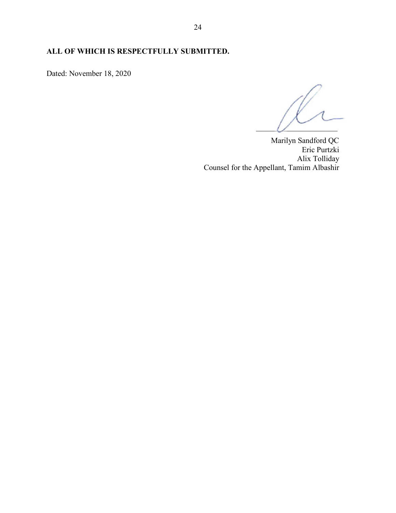# **ALL OF WHICH IS RESPECTFULLY SUBMITTED.**

Dated: November 18, 2020

 $\cup$ 

Marilyn Sandford QC Eric Purtzki Alix Tolliday Counsel for the Appellant, Tamim Albashir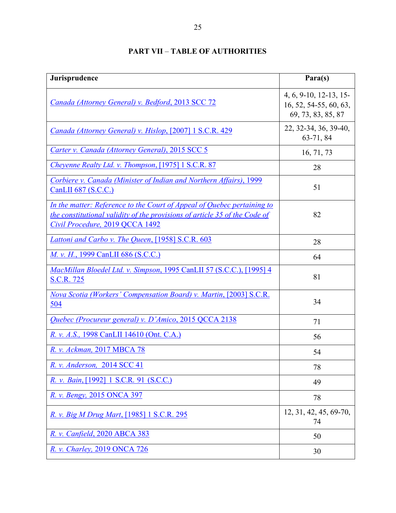<span id="page-26-0"></span>

| Jurisprudence                                                                                                                                                                            | Para(s)                                                                |
|------------------------------------------------------------------------------------------------------------------------------------------------------------------------------------------|------------------------------------------------------------------------|
| Canada (Attorney General) v. Bedford, 2013 SCC 72                                                                                                                                        | 4, 6, 9-10, 12-13, 15-<br>16, 52, 54-55, 60, 63,<br>69, 73, 83, 85, 87 |
| Canada (Attorney General) v. Hislop, [2007] 1 S.C.R. 429                                                                                                                                 | 22, 32-34, 36, 39-40,<br>63-71, 84                                     |
| Carter v. Canada (Attorney General), 2015 SCC 5                                                                                                                                          | 16, 71, 73                                                             |
| Chevenne Realty Ltd. v. Thompson, [1975] 1 S.C.R. 87                                                                                                                                     | 28                                                                     |
| Corbiere v. Canada (Minister of Indian and Northern Affairs), 1999<br>CanLII 687 (S.C.C.)                                                                                                | 51                                                                     |
| In the matter: Reference to the Court of Appeal of Quebec pertaining to<br>the constitutional validity of the provisions of article 35 of the Code of<br>Civil Procedure, 2019 QCCA 1492 | 82                                                                     |
| Lattoni and Carbo v. The Queen, [1958] S.C.R. 603                                                                                                                                        | 28                                                                     |
| M. v. H., 1999 CanLII 686 (S.C.C.)                                                                                                                                                       | 64                                                                     |
| MacMillan Bloedel Ltd. v. Simpson, 1995 CanLII 57 (S.C.C.), [1995] 4<br><u>S.C.R. 725</u>                                                                                                | 81                                                                     |
| Nova Scotia (Workers' Compensation Board) v. Martin, [2003] S.C.R.<br>504                                                                                                                | 34                                                                     |
| Quebec (Procureur general) v. D'Amico, 2015 QCCA 2138                                                                                                                                    | 71                                                                     |
| R. v. A.S., 1998 CanLII 14610 (Ont. C.A.)                                                                                                                                                | 56                                                                     |
| R. v. Ackman, 2017 MBCA 78                                                                                                                                                               | 54                                                                     |
| R. v. Anderson, 2014 SCC 41                                                                                                                                                              | 78                                                                     |
| R. v. Bain, [1992] 1 S.C.R. 91 (S.C.C.)                                                                                                                                                  | 49                                                                     |
| R. v. Bengy, 2015 ONCA 397                                                                                                                                                               | 78                                                                     |
| R. v. Big M Drug Mart, [1985] 1 S.C.R. 295                                                                                                                                               | 12, 31, 42, 45, 69-70,<br>74                                           |
| R. v. Canfield, 2020 ABCA 383                                                                                                                                                            | 50                                                                     |
| R. v. Charley, 2019 ONCA 726                                                                                                                                                             | 30                                                                     |

# **PART VII** – **TABLE OF AUTHORITIES**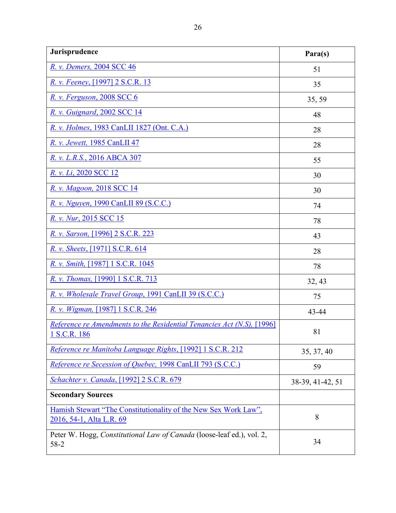| Jurisprudence                                                                                 | Para(s)          |
|-----------------------------------------------------------------------------------------------|------------------|
| R. v. Demers, 2004 SCC 46                                                                     | 51               |
| R. v. Feeney, [1997] 2 S.C.R. 13                                                              | 35               |
| R. v. Ferguson, 2008 SCC 6                                                                    | 35, 59           |
| R. v. Guignard, 2002 SCC 14                                                                   | 48               |
| R. v. Holmes, 1983 CanLII 1827 (Ont. C.A.)                                                    | 28               |
| R. v. Jewett, 1985 CanLII 47                                                                  | 28               |
| R. v. L.R.S., 2016 ABCA 307                                                                   | 55               |
| <i>R. v. Li, 2020 SCC 12</i>                                                                  | 30               |
| R. v. Magoon, 2018 SCC 14                                                                     | 30               |
| R. v. Nguyen, 1990 CanLII 89 (S.C.C.)                                                         | 74               |
| R. v. Nur, 2015 SCC 15                                                                        | 78               |
| R. v. Sarson, [1996] 2 S.C.R. 223                                                             | 43               |
| R. v. Sheets, [1971] S.C.R. 614                                                               | 28               |
| R. v. Smith, [1987] 1 S.C.R. 1045                                                             | 78               |
| R. v. Thomas, [1990] 1 S.C.R. 713                                                             | 32, 43           |
| R. v. Wholesale Travel Group, 1991 CanLII 39 (S.C.C.)                                         | 75               |
| R. v. Wigman, [1987] 1 S.C.R. 246                                                             | 43-44            |
| Reference re Amendments to the Residential Tenancies Act (N.S), [1996]<br><u>1 S.C.R. 186</u> | 81               |
| Reference re Manitoba Language Rights, [1992] 1 S.C.R. 212                                    | 35, 37, 40       |
| Reference re Secession of Quebec, 1998 CanLII 793 (S.C.C.)                                    | 59               |
| Schachter v. Canada, [1992] 2 S.C.R. 679                                                      | 38-39, 41-42, 51 |
| <b>Secondary Sources</b>                                                                      |                  |
| Hamish Stewart "The Constitutionality of the New Sex Work Law",<br>2016, 54-1, Alta L.R. 69   | 8                |
| Peter W. Hogg, Constitutional Law of Canada (loose-leaf ed.), vol. 2,<br>$58-2$               | 34               |